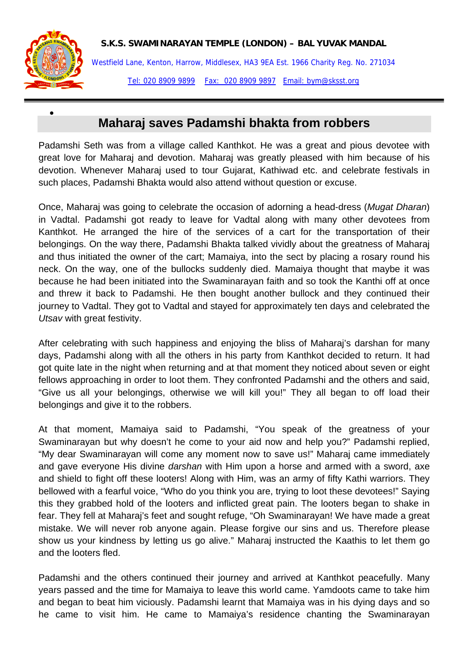



•

Westfield Lane, Kenton, Harrow, Middlesex, HA3 9EA Est. 1966 Charity Reg. No. 271034 Tel: 020 8909 9899 Fax: 020 8909 9897 Email: bym@sksst.org

## **Maharaj saves Padamshi bhakta from robbers**

Padamshi Seth was from a village called Kanthkot. He was a great and pious devotee with great love for Maharaj and devotion. Maharaj was greatly pleased with him because of his devotion. Whenever Maharaj used to tour Gujarat, Kathiwad etc. and celebrate festivals in such places, Padamshi Bhakta would also attend without question or excuse.

Once, Maharaj was going to celebrate the occasion of adorning a head-dress (*Mugat Dharan*) in Vadtal. Padamshi got ready to leave for Vadtal along with many other devotees from Kanthkot. He arranged the hire of the services of a cart for the transportation of their belongings. On the way there, Padamshi Bhakta talked vividly about the greatness of Maharaj and thus initiated the owner of the cart; Mamaiya, into the sect by placing a rosary round his neck. On the way, one of the bullocks suddenly died. Mamaiya thought that maybe it was because he had been initiated into the Swaminarayan faith and so took the Kanthi off at once and threw it back to Padamshi. He then bought another bullock and they continued their journey to Vadtal. They got to Vadtal and stayed for approximately ten days and celebrated the *Utsav* with great festivity.

After celebrating with such happiness and enjoying the bliss of Maharaj's darshan for many days, Padamshi along with all the others in his party from Kanthkot decided to return. It had got quite late in the night when returning and at that moment they noticed about seven or eight fellows approaching in order to loot them. They confronted Padamshi and the others and said, "Give us all your belongings, otherwise we will kill you!" They all began to off load their belongings and give it to the robbers.

At that moment, Mamaiya said to Padamshi, "You speak of the greatness of your Swaminarayan but why doesn't he come to your aid now and help you?" Padamshi replied, "My dear Swaminarayan will come any moment now to save us!" Maharaj came immediately and gave everyone His divine *darshan* with Him upon a horse and armed with a sword, axe and shield to fight off these looters! Along with Him, was an army of fifty Kathi warriors. They bellowed with a fearful voice, "Who do you think you are, trying to loot these devotees!" Saying this they grabbed hold of the looters and inflicted great pain. The looters began to shake in fear. They fell at Maharaj's feet and sought refuge, "Oh Swaminarayan! We have made a great mistake. We will never rob anyone again. Please forgive our sins and us. Therefore please show us your kindness by letting us go alive." Maharaj instructed the Kaathis to let them go and the looters fled.

Padamshi and the others continued their journey and arrived at Kanthkot peacefully. Many years passed and the time for Mamaiya to leave this world came. Yamdoots came to take him and began to beat him viciously. Padamshi learnt that Mamaiya was in his dying days and so he came to visit him. He came to Mamaiya's residence chanting the Swaminarayan